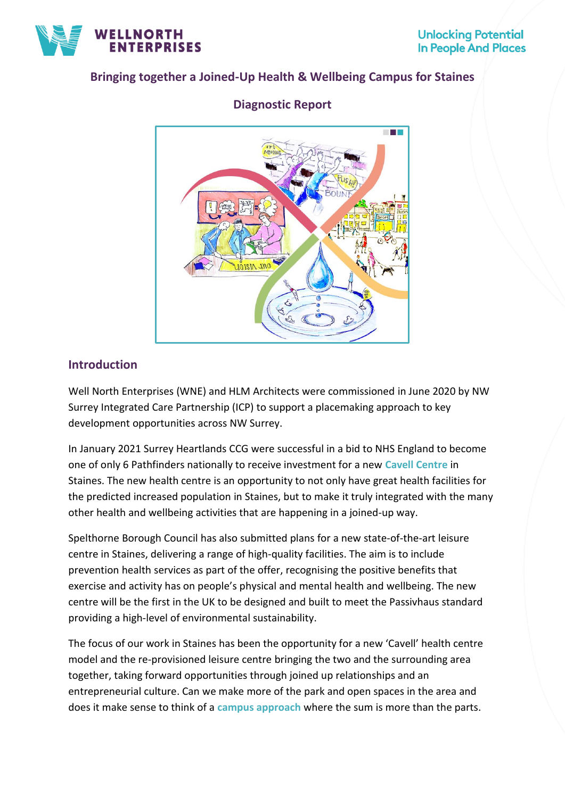

## **Bringing together a Joined-Up Health & Wellbeing Campus for Staines**



# **Diagnostic Report**

## **Introduction**

Well North Enterprises (WNE) and HLM Architects were commissioned in June 2020 by NW Surrey Integrated Care Partnership (ICP) to support a placemaking approach to key development opportunities across NW Surrey.

In January 2021 Surrey Heartlands CCG were successful in a bid to NHS England to become one of only 6 Pathfinders nationally to receive investment for a new **Cavell Centre** in Staines. The new health centre is an opportunity to not only have great health facilities for the predicted increased population in Staines, but to make it truly integrated with the many other health and wellbeing activities that are happening in a joined-up way.

Spelthorne Borough Council has also submitted plans for a new state-of-the-art leisure centre in Staines, delivering a range of high-quality facilities. The aim is to include prevention health services as part of the offer, recognising the positive benefits that exercise and activity has on people's physical and mental health and wellbeing. The new centre will be the first in the UK to be designed and built to meet the Passivhaus standard providing a high-level of environmental sustainability.

The focus of our work in Staines has been the opportunity for a new 'Cavell' health centre model and the re-provisioned leisure centre bringing the two and the surrounding area together, taking forward opportunities through joined up relationships and an entrepreneurial culture. Can we make more of the park and open spaces in the area and does it make sense to think of a **campus approach** where the sum is more than the parts.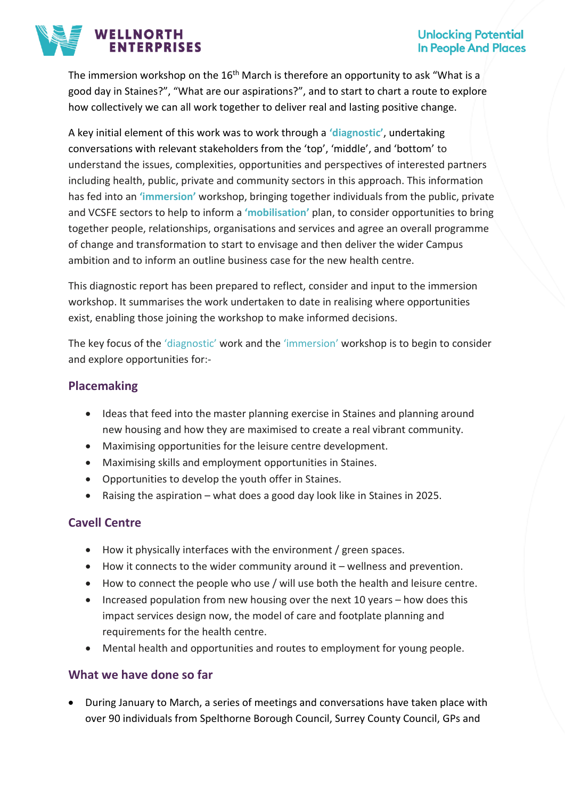#### **Unlocking Potential In People And Places**



The immersion workshop on the  $16<sup>th</sup>$  March is therefore an opportunity to ask "What is a good day in Staines?", "What are our aspirations?", and to start to chart a route to explore how collectively we can all work together to deliver real and lasting positive change.

A key initial element of this work was to work through a **'diagnostic'**, undertaking conversations with relevant stakeholders from the 'top', 'middle', and 'bottom' to understand the issues, complexities, opportunities and perspectives of interested partners including health, public, private and community sectors in this approach. This information has fed into an **'immersion'** workshop, bringing together individuals from the public, private and VCSFE sectors to help to inform a **'mobilisation'** plan, to consider opportunities to bring together people, relationships, organisations and services and agree an overall programme of change and transformation to start to envisage and then deliver the wider Campus ambition and to inform an outline business case for the new health centre.

This diagnostic report has been prepared to reflect, consider and input to the immersion workshop. It summarises the work undertaken to date in realising where opportunities exist, enabling those joining the workshop to make informed decisions.

The key focus of the 'diagnostic' work and the 'immersion' workshop is to begin to consider and explore opportunities for:-

## **Placemaking**

- Ideas that feed into the master planning exercise in Staines and planning around new housing and how they are maximised to create a real vibrant community.
- Maximising opportunities for the leisure centre development.
- Maximising skills and employment opportunities in Staines.
- Opportunities to develop the youth offer in Staines.
- Raising the aspiration what does a good day look like in Staines in 2025.

### **Cavell Centre**

- How it physically interfaces with the environment / green spaces.
- $\bullet$  How it connects to the wider community around it wellness and prevention.
- How to connect the people who use / will use both the health and leisure centre.
- Increased population from new housing over the next 10 years how does this impact services design now, the model of care and footplate planning and requirements for the health centre.
- Mental health and opportunities and routes to employment for young people.

### **What we have done so far**

• During January to March, a series of meetings and conversations have taken place with over 90 individuals from Spelthorne Borough Council, Surrey County Council, GPs and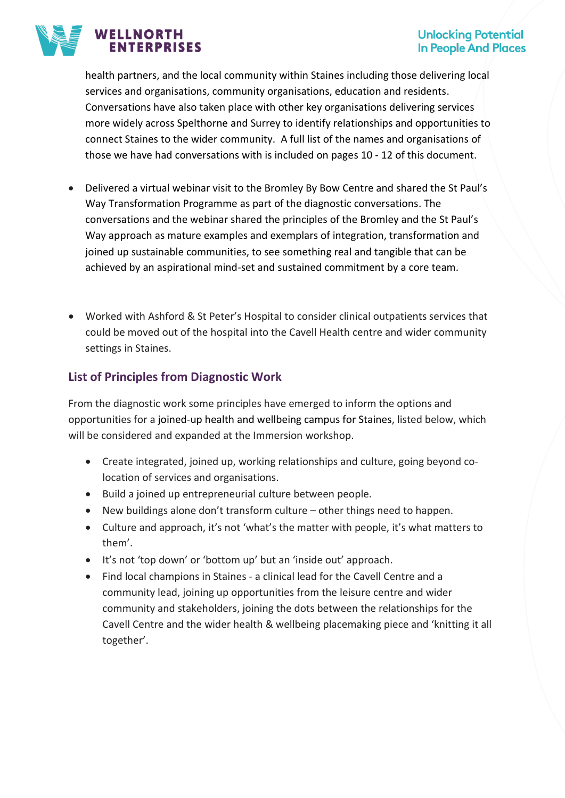# **WELLNORTH ENTERPRISES**

### **Unlocking Potential In People And Places**

health partners, and the local community within Staines including those delivering local services and organisations, community organisations, education and residents. Conversations have also taken place with other key organisations delivering services more widely across Spelthorne and Surrey to identify relationships and opportunities to connect Staines to the wider community. A full list of the names and organisations of those we have had conversations with is included on pages 10 - 12 of this document.

- Delivered a virtual webinar visit to the Bromley By Bow Centre and shared the St Paul's Way Transformation Programme as part of the diagnostic conversations. The conversations and the webinar shared the principles of the Bromley and the St Paul's Way approach as mature examples and exemplars of integration, transformation and joined up sustainable communities, to see something real and tangible that can be achieved by an aspirational mind-set and sustained commitment by a core team.
- Worked with Ashford & St Peter's Hospital to consider clinical outpatients services that could be moved out of the hospital into the Cavell Health centre and wider community settings in Staines.

# **List of Principles from Diagnostic Work**

From the diagnostic work some principles have emerged to inform the options and opportunities for a joined-up health and wellbeing campus for Staines, listed below, which will be considered and expanded at the Immersion workshop.

- Create integrated, joined up, working relationships and culture, going beyond colocation of services and organisations.
- Build a joined up entrepreneurial culture between people.
- New buildings alone don't transform culture other things need to happen.
- Culture and approach, it's not 'what's the matter with people, it's what matters to them'.
- It's not 'top down' or 'bottom up' but an 'inside out' approach.
- Find local champions in Staines a clinical lead for the Cavell Centre and a community lead, joining up opportunities from the leisure centre and wider community and stakeholders, joining the dots between the relationships for the Cavell Centre and the wider health & wellbeing placemaking piece and 'knitting it all together'.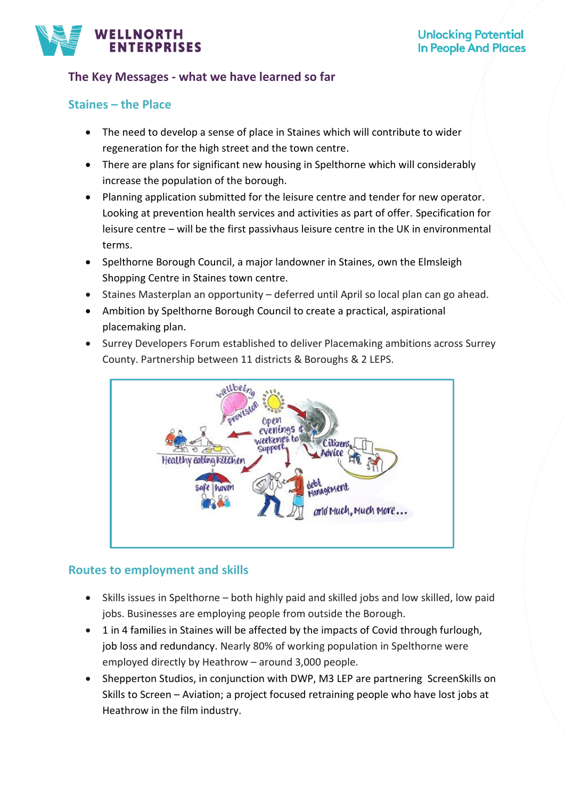

## **The Key Messages - what we have learned so far**

### **Staines – the Place**

- The need to develop a sense of place in Staines which will contribute to wider regeneration for the high street and the town centre.
- There are plans for significant new housing in Spelthorne which will considerably increase the population of the borough.
- Planning application submitted for the leisure centre and tender for new operator. Looking at prevention health services and activities as part of offer. Specification for leisure centre – will be the first passivhaus leisure centre in the UK in environmental terms.
- Spelthorne Borough Council, a major landowner in Staines, own the Elmsleigh Shopping Centre in Staines town centre.
- Staines Masterplan an opportunity deferred until April so local plan can go ahead.
- Ambition by Spelthorne Borough Council to create a practical, aspirational placemaking plan.
- Surrey Developers Forum established to deliver Placemaking ambitions across Surrey County. Partnership between 11 districts & Boroughs & 2 LEPS.



### **Routes to employment and skills**

- Skills issues in Spelthorne both highly paid and skilled jobs and low skilled, low paid jobs. Businesses are employing people from outside the Borough.
- 1 in 4 families in Staines will be affected by the impacts of Covid through furlough, job loss and redundancy. Nearly 80% of working population in Spelthorne were employed directly by Heathrow – around 3,000 people.
- Shepperton Studios, in conjunction with DWP, M3 LEP are partnering ScreenSkills on Skills to Screen – Aviation; a project focused retraining people who have lost jobs at Heathrow in the film industry.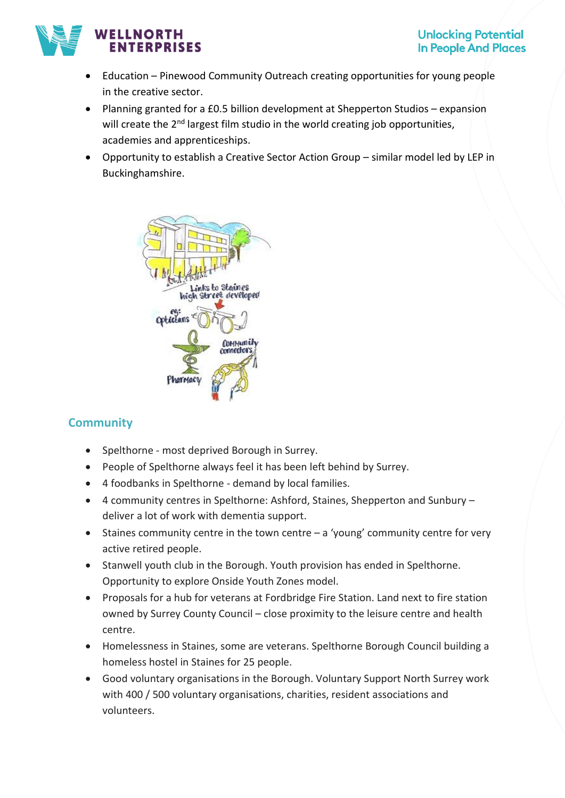### **WELLNORTH ERPRISES**

- Education Pinewood Community Outreach creating opportunities for young people in the creative sector.
- Planning granted for a £0.5 billion development at Shepperton Studios expansion will create the 2<sup>nd</sup> largest film studio in the world creating job opportunities, academies and apprenticeships.
- Opportunity to establish a Creative Sector Action Group similar model led by LEP in Buckinghamshire.



# **Community**

- Spelthorne most deprived Borough in Surrey.
- People of Spelthorne always feel it has been left behind by Surrey.
- 4 foodbanks in Spelthorne demand by local families.
- 4 community centres in Spelthorne: Ashford, Staines, Shepperton and Sunbury deliver a lot of work with dementia support.
- Staines community centre in the town centre a 'young' community centre for very active retired people.
- Stanwell youth club in the Borough. Youth provision has ended in Spelthorne. Opportunity to explore Onside Youth Zones model.
- Proposals for a hub for veterans at Fordbridge Fire Station. Land next to fire station owned by Surrey County Council – close proximity to the leisure centre and health centre.
- Homelessness in Staines, some are veterans. Spelthorne Borough Council building a homeless hostel in Staines for 25 people.
- Good voluntary organisations in the Borough. Voluntary Support North Surrey work with 400 / 500 voluntary organisations, charities, resident associations and volunteers.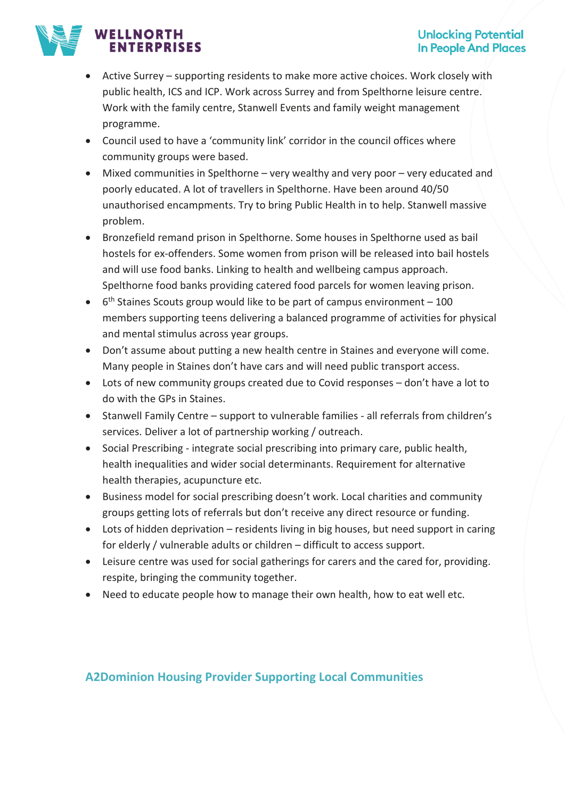## **WELLNORTH TERPRISES**

- Active Surrey supporting residents to make more active choices. Work closely with public health, ICS and ICP. Work across Surrey and from Spelthorne leisure centre. Work with the family centre, Stanwell Events and family weight management programme.
- Council used to have a 'community link' corridor in the council offices where community groups were based.
- Mixed communities in Spelthorne very wealthy and very poor very educated and poorly educated. A lot of travellers in Spelthorne. Have been around 40/50 unauthorised encampments. Try to bring Public Health in to help. Stanwell massive problem.
- Bronzefield remand prison in Spelthorne. Some houses in Spelthorne used as bail hostels for ex-offenders. Some women from prison will be released into bail hostels and will use food banks. Linking to health and wellbeing campus approach. Spelthorne food banks providing catered food parcels for women leaving prison.
- $\bullet$  6<sup>th</sup> Staines Scouts group would like to be part of campus environment 100 members supporting teens delivering a balanced programme of activities for physical and mental stimulus across year groups.
- Don't assume about putting a new health centre in Staines and everyone will come. Many people in Staines don't have cars and will need public transport access.
- Lots of new community groups created due to Covid responses don't have a lot to do with the GPs in Staines.
- Stanwell Family Centre support to vulnerable families all referrals from children's services. Deliver a lot of partnership working / outreach.
- Social Prescribing integrate social prescribing into primary care, public health, health inequalities and wider social determinants. Requirement for alternative health therapies, acupuncture etc.
- Business model for social prescribing doesn't work. Local charities and community groups getting lots of referrals but don't receive any direct resource or funding.
- Lots of hidden deprivation residents living in big houses, but need support in caring for elderly / vulnerable adults or children – difficult to access support.
- Leisure centre was used for social gatherings for carers and the cared for, providing. respite, bringing the community together.
- Need to educate people how to manage their own health, how to eat well etc.

# **A2Dominion Housing Provider Supporting Local Communities**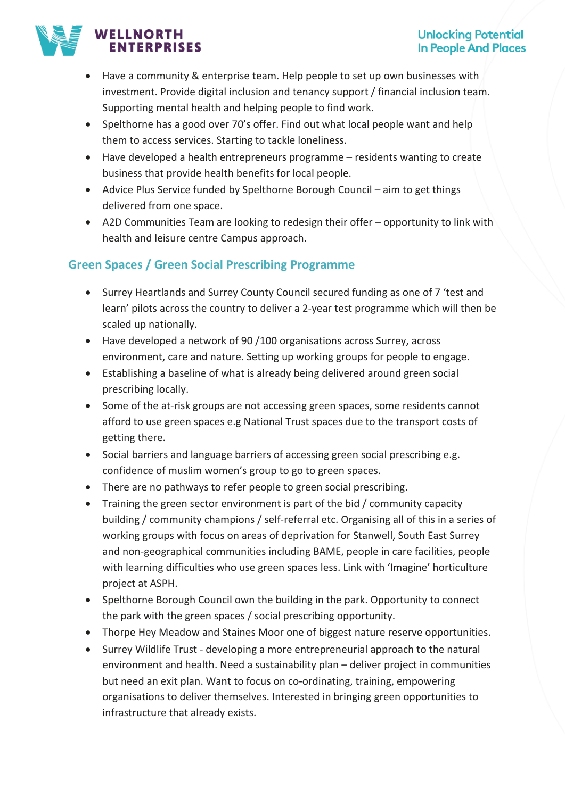# **WELLNORTH ENTERPRISES**

- Have a community & enterprise team. Help people to set up own businesses with investment. Provide digital inclusion and tenancy support / financial inclusion team. Supporting mental health and helping people to find work.
- Spelthorne has a good over 70's offer. Find out what local people want and help them to access services. Starting to tackle loneliness.
- Have developed a health entrepreneurs programme residents wanting to create business that provide health benefits for local people.
- Advice Plus Service funded by Spelthorne Borough Council aim to get things delivered from one space.
- A2D Communities Team are looking to redesign their offer opportunity to link with health and leisure centre Campus approach.

# **Green Spaces / Green Social Prescribing Programme**

- Surrey Heartlands and Surrey County Council secured funding as one of 7 'test and learn' pilots across the country to deliver a 2-year test programme which will then be scaled up nationally.
- Have developed a network of 90 /100 organisations across Surrey, across environment, care and nature. Setting up working groups for people to engage.
- Establishing a baseline of what is already being delivered around green social prescribing locally.
- Some of the at-risk groups are not accessing green spaces, some residents cannot afford to use green spaces e.g National Trust spaces due to the transport costs of getting there.
- Social barriers and language barriers of accessing green social prescribing e.g. confidence of muslim women's group to go to green spaces.
- There are no pathways to refer people to green social prescribing.
- Training the green sector environment is part of the bid / community capacity building / community champions / self-referral etc. Organising all of this in a series of working groups with focus on areas of deprivation for Stanwell, South East Surrey and non-geographical communities including BAME, people in care facilities, people with learning difficulties who use green spaces less. Link with 'Imagine' horticulture project at ASPH.
- Spelthorne Borough Council own the building in the park. Opportunity to connect the park with the green spaces / social prescribing opportunity.
- Thorpe Hey Meadow and Staines Moor one of biggest nature reserve opportunities.
- Surrey Wildlife Trust developing a more entrepreneurial approach to the natural environment and health. Need a sustainability plan – deliver project in communities but need an exit plan. Want to focus on co-ordinating, training, empowering organisations to deliver themselves. Interested in bringing green opportunities to infrastructure that already exists.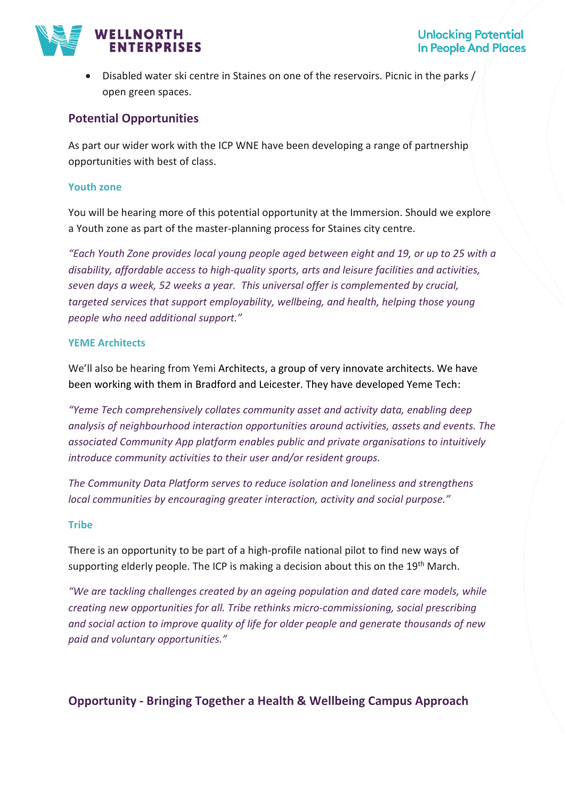### **Unlocking Potential In People And Places**



• Disabled water ski centre in Staines on one of the reservoirs. Picnic in the parks / open green spaces.

### **Potential Opportunities**

As part our wider work with the ICP WNE have been developing a range of partnership opportunities with best of class.

#### **Youth zone**

You will be hearing more of this potential opportunity at the Immersion. Should we explore a Youth zone as part of the master-planning process for Staines city centre.

*"Each Youth Zone provides local young people aged between eight and 19, or up to 25 with a disability, affordable access to high-quality sports, arts and leisure facilities and activities, seven days a week, 52 weeks a year. This universal offer is complemented by crucial, targeted services that support employability, wellbeing, and health, helping those young people who need additional support."*

#### **YEME Architects**

We'll also be hearing from Yemi Architects, a group of very innovate architects. We have been working with them in Bradford and Leicester. They have developed Yeme Tech:

*"Yeme Tech comprehensively collates community asset and activity data, enabling deep analysis of neighbourhood interaction opportunities around activities, assets and events. The associated Community App platform enables public and private organisations to intuitively introduce community activities to their user and/or resident groups.* 

*The Community Data Platform serves to reduce isolation and loneliness and strengthens local communities by encouraging greater interaction, activity and social purpose."* 

#### **Tribe**

There is an opportunity to be part of a high-profile national pilot to find new ways of supporting elderly people. The ICP is making a decision about this on the  $19<sup>th</sup>$  March.

*"We are tackling challenges created by an ageing population and dated care models, while creating new opportunities for all. Tribe rethinks micro-commissioning, social prescribing and social action to improve quality of life for older people and generate thousands of new paid and voluntary opportunities."*

### **Opportunity - Bringing Together a Health & Wellbeing Campus Approach**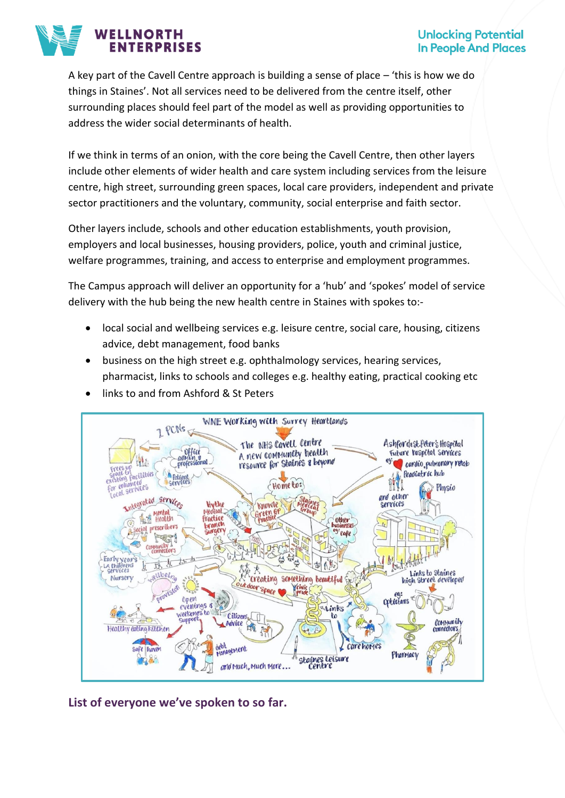### **Unlocking Potential In People And Places**



A key part of the Cavell Centre approach is building a sense of place – 'this is how we do things in Staines'. Not all services need to be delivered from the centre itself, other surrounding places should feel part of the model as well as providing opportunities to address the wider social determinants of health.

If we think in terms of an onion, with the core being the Cavell Centre, then other layers include other elements of wider health and care system including services from the leisure centre, high street, surrounding green spaces, local care providers, independent and private sector practitioners and the voluntary, community, social enterprise and faith sector.

Other layers include, schools and other education establishments, youth provision, employers and local businesses, housing providers, police, youth and criminal justice, welfare programmes, training, and access to enterprise and employment programmes.

The Campus approach will deliver an opportunity for a 'hub' and 'spokes' model of service delivery with the hub being the new health centre in Staines with spokes to:-

- local social and wellbeing services e.g. leisure centre, social care, housing, citizens advice, debt management, food banks
- business on the high street e.g. ophthalmology services, hearing services, pharmacist, links to schools and colleges e.g. healthy eating, practical cooking etc
- links to and from Ashford & St Peters



**List of everyone we've spoken to so far.**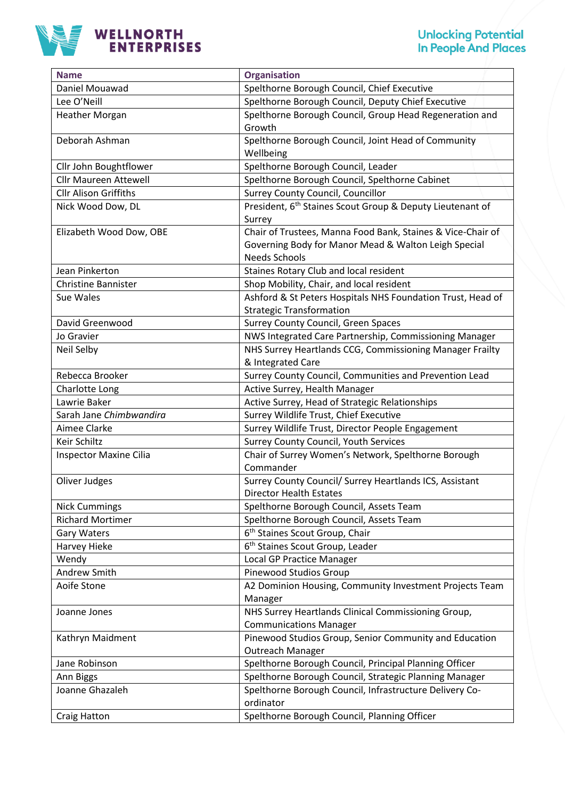

| <b>Name</b>                  | <b>Organisation</b>                                                   |
|------------------------------|-----------------------------------------------------------------------|
| Daniel Mouawad               | Spelthorne Borough Council, Chief Executive                           |
| Lee O'Neill                  | Spelthorne Borough Council, Deputy Chief Executive                    |
| <b>Heather Morgan</b>        | Spelthorne Borough Council, Group Head Regeneration and               |
|                              | Growth                                                                |
| Deborah Ashman               | Spelthorne Borough Council, Joint Head of Community                   |
|                              | Wellbeing                                                             |
| Cllr John Boughtflower       | Spelthorne Borough Council, Leader                                    |
| <b>Cllr Maureen Attewell</b> | Spelthorne Borough Council, Spelthorne Cabinet                        |
| <b>Cllr Alison Griffiths</b> | Surrey County Council, Councillor                                     |
| Nick Wood Dow, DL            | President, 6 <sup>th</sup> Staines Scout Group & Deputy Lieutenant of |
|                              | Surrey                                                                |
| Elizabeth Wood Dow, OBE      | Chair of Trustees, Manna Food Bank, Staines & Vice-Chair of           |
|                              | Governing Body for Manor Mead & Walton Leigh Special                  |
|                              | <b>Needs Schools</b>                                                  |
| Jean Pinkerton               | Staines Rotary Club and local resident                                |
| <b>Christine Bannister</b>   | Shop Mobility, Chair, and local resident                              |
| Sue Wales                    | Ashford & St Peters Hospitals NHS Foundation Trust, Head of           |
|                              | <b>Strategic Transformation</b>                                       |
| David Greenwood              | Surrey County Council, Green Spaces                                   |
| Jo Gravier                   | NWS Integrated Care Partnership, Commissioning Manager                |
| Neil Selby                   | NHS Surrey Heartlands CCG, Commissioning Manager Frailty              |
|                              | & Integrated Care                                                     |
| Rebecca Brooker              | Surrey County Council, Communities and Prevention Lead                |
| Charlotte Long               | Active Surrey, Health Manager                                         |
| Lawrie Baker                 | Active Surrey, Head of Strategic Relationships                        |
| Sarah Jane Chimbwandira      | Surrey Wildlife Trust, Chief Executive                                |
| Aimee Clarke                 | Surrey Wildlife Trust, Director People Engagement                     |
| Keir Schiltz                 | <b>Surrey County Council, Youth Services</b>                          |
| Inspector Maxine Cilia       | Chair of Surrey Women's Network, Spelthorne Borough                   |
|                              | Commander                                                             |
| Oliver Judges                | Surrey County Council/ Surrey Heartlands ICS, Assistant               |
|                              | <b>Director Health Estates</b>                                        |
| <b>Nick Cummings</b>         | Spelthorne Borough Council, Assets Team                               |
| <b>Richard Mortimer</b>      | Spelthorne Borough Council, Assets Team                               |
| <b>Gary Waters</b>           | 6 <sup>th</sup> Staines Scout Group, Chair                            |
| Harvey Hieke                 | 6 <sup>th</sup> Staines Scout Group, Leader                           |
| Wendy                        | Local GP Practice Manager                                             |
| Andrew Smith                 | Pinewood Studios Group                                                |
| Aoife Stone                  | A2 Dominion Housing, Community Investment Projects Team               |
|                              | Manager                                                               |
| Joanne Jones                 | NHS Surrey Heartlands Clinical Commissioning Group,                   |
|                              | <b>Communications Manager</b>                                         |
| Kathryn Maidment             | Pinewood Studios Group, Senior Community and Education                |
|                              | Outreach Manager                                                      |
| Jane Robinson                | Spelthorne Borough Council, Principal Planning Officer                |
| Ann Biggs                    | Spelthorne Borough Council, Strategic Planning Manager                |
| Joanne Ghazaleh              | Spelthorne Borough Council, Infrastructure Delivery Co-               |
|                              | ordinator                                                             |
| <b>Craig Hatton</b>          | Spelthorne Borough Council, Planning Officer                          |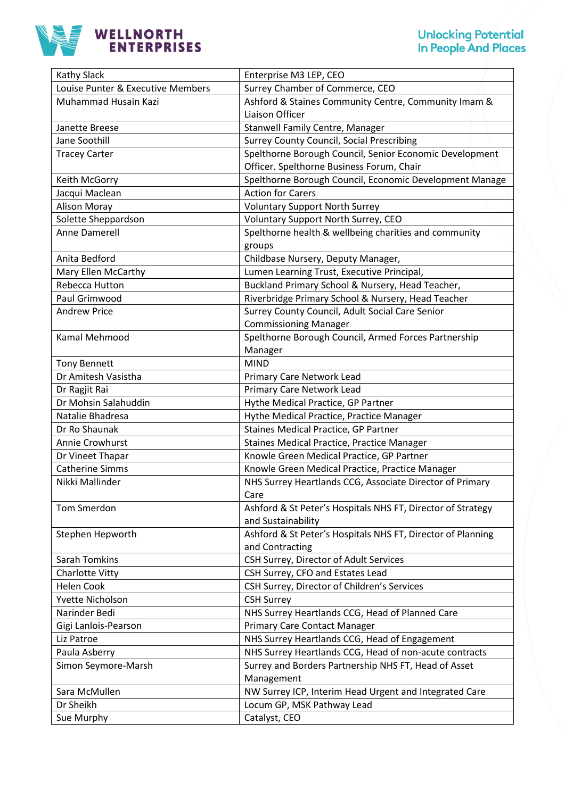

| <b>Kathy Slack</b>                | Enterprise M3 LEP, CEO                                      |
|-----------------------------------|-------------------------------------------------------------|
| Louise Punter & Executive Members | Surrey Chamber of Commerce, CEO                             |
| Muhammad Husain Kazi              | Ashford & Staines Community Centre, Community Imam &        |
|                                   | Liaison Officer                                             |
| Janette Breese                    | Stanwell Family Centre, Manager                             |
| Jane Soothill                     | <b>Surrey County Council, Social Prescribing</b>            |
| <b>Tracey Carter</b>              | Spelthorne Borough Council, Senior Economic Development     |
|                                   | Officer. Spelthorne Business Forum, Chair                   |
| Keith McGorry                     | Spelthorne Borough Council, Economic Development Manage     |
| Jacqui Maclean                    | <b>Action for Carers</b>                                    |
| <b>Alison Moray</b>               | <b>Voluntary Support North Surrey</b>                       |
| Solette Sheppardson               | Voluntary Support North Surrey, CEO                         |
| Anne Damerell                     | Spelthorne health & wellbeing charities and community       |
|                                   | groups                                                      |
| Anita Bedford                     | Childbase Nursery, Deputy Manager,                          |
| Mary Ellen McCarthy               | Lumen Learning Trust, Executive Principal,                  |
| Rebecca Hutton                    | Buckland Primary School & Nursery, Head Teacher,            |
| Paul Grimwood                     | Riverbridge Primary School & Nursery, Head Teacher          |
| <b>Andrew Price</b>               | Surrey County Council, Adult Social Care Senior             |
|                                   | <b>Commissioning Manager</b>                                |
| Kamal Mehmood                     | Spelthorne Borough Council, Armed Forces Partnership        |
|                                   | Manager                                                     |
| <b>Tony Bennett</b>               | <b>MIND</b>                                                 |
| Dr Amitesh Vasistha               | Primary Care Network Lead                                   |
| Dr Ragjit Rai                     | <b>Primary Care Network Lead</b>                            |
| Dr Mohsin Salahuddin              | Hythe Medical Practice, GP Partner                          |
| Natalie Bhadresa                  | Hythe Medical Practice, Practice Manager                    |
| Dr Ro Shaunak                     | <b>Staines Medical Practice, GP Partner</b>                 |
| Annie Crowhurst                   | Staines Medical Practice, Practice Manager                  |
| Dr Vineet Thapar                  | Knowle Green Medical Practice, GP Partner                   |
| <b>Catherine Simms</b>            | Knowle Green Medical Practice, Practice Manager             |
| Nikki Mallinder                   | NHS Surrey Heartlands CCG, Associate Director of Primary    |
|                                   | Care                                                        |
| Tom Smerdon                       | Ashford & St Peter's Hospitals NHS FT, Director of Strategy |
|                                   | and Sustainability                                          |
| Stephen Hepworth                  | Ashford & St Peter's Hospitals NHS FT, Director of Planning |
|                                   | and Contracting                                             |
| <b>Sarah Tomkins</b>              | CSH Surrey, Director of Adult Services                      |
| Charlotte Vitty                   | CSH Surrey, CFO and Estates Lead                            |
| <b>Helen Cook</b>                 | CSH Surrey, Director of Children's Services                 |
| Yvette Nicholson                  | <b>CSH Surrey</b>                                           |
| Narinder Bedi                     | NHS Surrey Heartlands CCG, Head of Planned Care             |
| Gigi Lanlois-Pearson              | <b>Primary Care Contact Manager</b>                         |
| Liz Patroe                        | NHS Surrey Heartlands CCG, Head of Engagement               |
| Paula Asberry                     | NHS Surrey Heartlands CCG, Head of non-acute contracts      |
| Simon Seymore-Marsh               | Surrey and Borders Partnership NHS FT, Head of Asset        |
|                                   | Management                                                  |
| Sara McMullen                     | NW Surrey ICP, Interim Head Urgent and Integrated Care      |
| Dr Sheikh                         | Locum GP, MSK Pathway Lead                                  |
| Sue Murphy                        | Catalyst, CEO                                               |